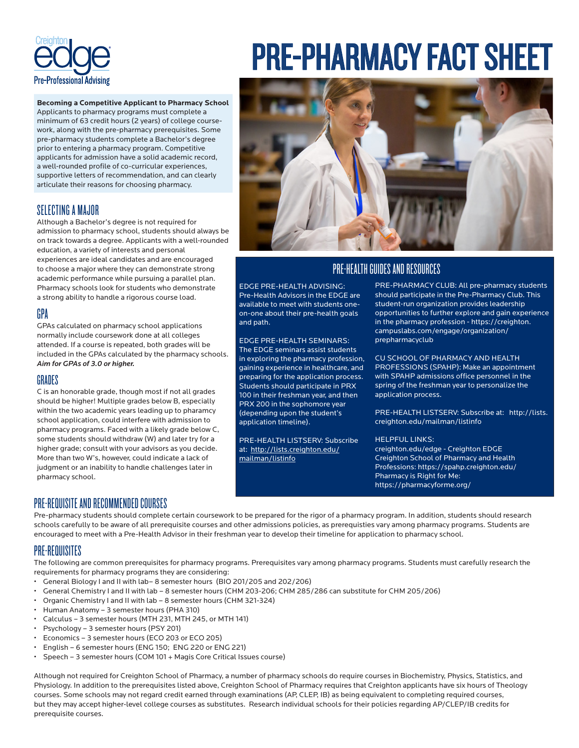

**Becoming a Competitive Applicant to Pharmacy School**  Applicants to pharmacy programs must complete a minimum of 63 credit hours (2 years) of college coursework, along with the pre-pharmacy prerequisites. Some pre-pharmacy students complete a Bachelor's degree prior to entering a pharmacy program. Competitive applicants for admission have a solid academic record, a well-rounded profile of co-curricular experiences, supportive letters of recommendation, and can clearly articulate their reasons for choosing pharmacy.

## SELECTING A MAJOR

Although a Bachelor's degree is not required for admission to pharmacy school, students should always be on track towards a degree. Applicants with a well-rounded education, a variety of interests and personal experiences are ideal candidates and are encouraged to choose a major where they can demonstrate strong academic performance while pursuing a parallel plan. Pharmacy schools look for students who demonstrate a strong ability to handle a rigorous course load.

### GPA

GPAs calculated on pharmacy school applications normally include coursework done at all colleges attended. If a course is repeated, both grades will be included in the GPAs calculated by the pharmacy schools. *Aim for GPAs of 3.0 or higher.* 

## GRADES

C is an honorable grade, though most if not all grades should be higher! Multiple grades below B, especially within the two academic years leading up to pharamcy school application, could interfere with admission to pharmacy programs. Faced with a likely grade below C, some students should withdraw (W) and later try for a higher grade; consult with your advisors as you decide. More than two W's, however, could indicate a lack of judgment or an inability to handle challenges later in pharmacy school.

# PRE-PHARMACY FACT SHEET



## PRE-HEALTH GUIDES AND RESOURCES

EDGE PRE-HEALTH ADVISING: Pre-Health Advisors in the EDGE are available to meet with students oneon-one about their pre-health goals and path.

EDGE PRE-HEALTH SEMINARS: The EDGE seminars assist students in exploring the pharmacy profession, gaining experience in healthcare, and preparing for the application process. Students should participate in PRX 100 in their freshman year, and then PRX 200 in the sophomore year (depending upon the student's application timeline).

PRE-HEALTH LISTSERV: Subscribe at: http://lists.creighton.edu/ mailman/listinfo

PRE-PHARMACY CLUB: All pre-pharmacy students should participate in the Pre-Pharmacy Club. This student-run organization provides leadership opportunities to further explore and gain experience in the pharmacy profession - https://creighton. campuslabs.com/engage/organization/ prepharmacyclub

CU SCHOOL OF PHARMACY AND HEALTH PROFESSIONS (SPAHP): Make an appointment with SPAHP admissions office personnel in the spring of the freshman year to personalize the application process.

PRE-HEALTH LISTSERV: Subscribe at: http://lists. creighton.edu/mailman/listinfo

#### HELPFUL LINKS:

creighton.edu/edge - Creighton EDGE Creighton School of Pharmacy and Health Professions: https://spahp.creighton.edu/ Pharmacy is Right for Me: https://pharmacyforme.org/

## PRE-REQUISITE AND RECOMMENDED COURSES

Pre-pharmacy students should complete certain coursework to be prepared for the rigor of a pharmacy program. In addition, students should research schools carefully to be aware of all prerequisite courses and other admissions policies, as prerequisties vary among pharmacy programs. Students are encouraged to meet with a Pre-Health Advisor in their freshman year to develop their timeline for application to pharmacy school.

## PRE-REQUISITES

The following are common prerequisites for pharmacy programs. Prerequisites vary among pharmacy programs. Students must carefully research the requirements for pharmacy programs they are considering:

- General Biology I and II with lab– 8 semester hours (BIO 201/205 and 202/206)
- General Chemistry I and II with lab 8 semester hours (CHM 203-206; CHM 285/286 can substitute for CHM 205/206)
- Organic Chemistry I and II with lab 8 semester hours (CHM 321-324)
- Human Anatomy 3 semester hours (PHA 310)
- Calculus 3 semester hours (MTH 231, MTH 245, or MTH 141)
- Psychology 3 semester hours (PSY 201)
- Economics 3 semester hours (ECO 203 or ECO 205)
- English 6 semester hours (ENG 150; ENG 220 or ENG 221)
- Speech 3 semester hours (COM 101 + Magis Core Critical Issues course)

Although not required for Creighton School of Pharmacy, a number of pharmacy schools do require courses in Biochemistry, Physics, Statistics, and Physiology. In addition to the prerequisites listed above, Creighton School of Pharmacy requires that Creighton applicants have six hours of Theology courses. Some schools may not regard credit earned through examinations (AP, CLEP, IB) as being equivalent to completing required courses, but they may accept higher-level college courses as substitutes. Research individual schools for their policies regarding AP/CLEP/IB credits for prerequisite courses.